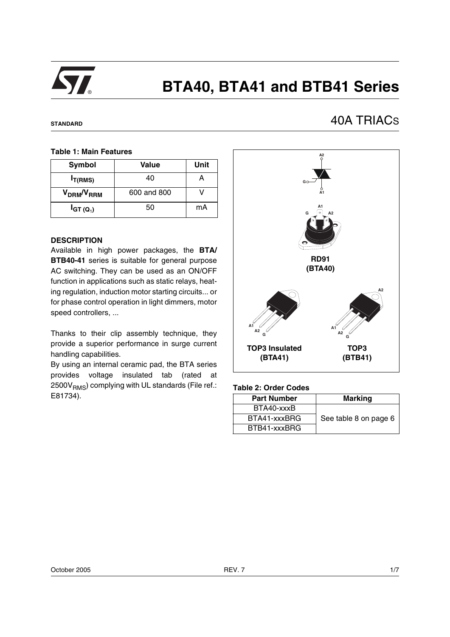

# **BTA40, BTA41 and BTB41 Series**

#### **STANDARD**

# 40A TRIACS

#### **Table 1: Main Features**

| Symbol                             | Value       | Unit |
|------------------------------------|-------------|------|
| $I_{T(RMS)}$                       | 40          |      |
| V <sub>DRM</sub> /V <sub>RRM</sub> | 600 and 800 |      |
| $I_{GT(Q_1)}$                      | 50          | mA   |

#### **DESCRIPTION**

Available in high power packages, the **BTA/ BTB40-41** series is suitable for general purpose AC switching. They can be used as an ON/OFF function in applications such as static relays, heating regulation, induction motor starting circuits... or for phase control operation in light dimmers, motor speed controllers, ...

Thanks to their clip assembly technique, they provide a superior performance in surge current handling capabilities.

By using an internal ceramic pad, the BTA series provides voltage insulated tab (rated at  $2500V<sub>RMS</sub>$ ) complying with UL standards (File ref.: E81734).



#### **Table 2: Order Codes**

| <b>Part Number</b> | <b>Marking</b>        |
|--------------------|-----------------------|
| BTA40-xxxB         |                       |
| BTA41-xxxBRG       | See table 8 on page 6 |
| BTB41-xxxBRG       |                       |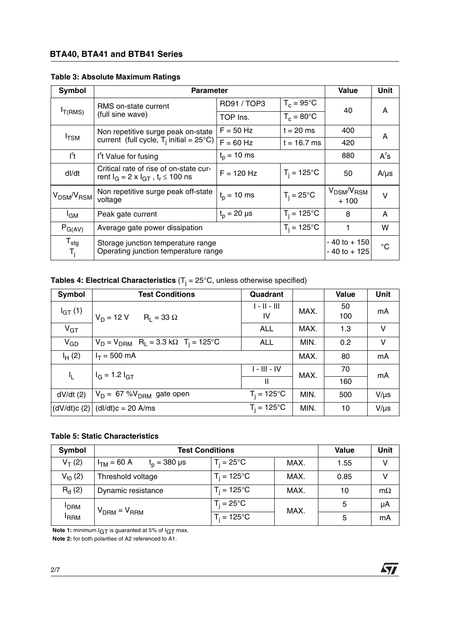# **BTA40, BTA41 and BTB41 Series**

| <b>Table 3: Absolute Maximum Ratings</b> |  |  |  |  |
|------------------------------------------|--|--|--|--|
|------------------------------------------|--|--|--|--|

| Symbol                                                 | <b>Parameter</b>                                                                          |                                     | Value                | Unit                        |           |
|--------------------------------------------------------|-------------------------------------------------------------------------------------------|-------------------------------------|----------------------|-----------------------------|-----------|
|                                                        | RMS on-state current                                                                      | $T_c = 95^{\circ}$ C<br>RD91 / TOP3 |                      | 40                          |           |
| I <sub>T(RMS)</sub>                                    | (full sine wave)                                                                          | TOP Ins.                            | $T_c = 80^{\circ}$ C |                             | A         |
| $I_{\text{TSM}}$                                       | Non repetitive surge peak on-state                                                        | $F = 50$ Hz                         | $t = 20$ ms          | 400                         | A         |
|                                                        | current (full cycle, $T_i$ initial = 25°C)                                                | $F = 60$ Hz                         | $t = 16.7$ ms        | 420                         |           |
| $l^2t$                                                 | $t_p = 10$ ms<br>I <sup>2</sup> t Value for fusing                                        |                                     | 880                  | $A^2S$                      |           |
| dl/dt                                                  | Critical rate of rise of on-state cur-<br>rent $I_G = 2 \times I_{GT}$ , $t_r \le 100$ ns | $F = 120$ Hz                        | $T_i = 125^{\circ}C$ | 50                          | $A/\mu s$ |
| V <sub>DSM</sub> /V <sub>RSM</sub>                     | Non repetitive surge peak off-state<br>voltage                                            | $t_{p}$ = 10 ms                     | $T_i = 25^{\circ}C$  | $V_{DSM}/V_{RSM}$<br>$+100$ | v         |
| <sup>I</sup> GM                                        | $t_{p} = 20 \text{ }\mu\text{s}$<br>Peak gate current                                     |                                     | $T_i = 125^{\circ}C$ | 8                           | A         |
| $P_{G(AV)}$                                            | $T_i = 125$ °C<br>Average gate power dissipation                                          |                                     |                      |                             | W         |
| $\mathsf{T}_{\text{stg}}$<br>$\mathsf{T}_{\mathsf{j}}$ | Storage junction temperature range<br>Operating junction temperature range                | $-40$ to $+150$<br>$-40$ to $+125$  | $^{\circ}C$          |                             |           |

**Tables 4: Electrical Characteristics** (T<sub>j</sub> = 25°C, unless otherwise specified)

| Symbol          | <b>Test Conditions</b>                                                 | Quadrant             |      | <b>Value</b> | <b>Unit</b> |
|-----------------|------------------------------------------------------------------------|----------------------|------|--------------|-------------|
| $I_{GT}(1)$     | $V_D = 12 V$<br>$R_1 = 33 \Omega$                                      | $1 - 11 - 111$<br>IV | MAX. | 50<br>100    | mA          |
| V <sub>GT</sub> |                                                                        | <b>ALL</b>           | MAX. | 1.3          | v           |
| $V_{GD}$        | $V_D = V_{DRM}$ R <sub>L</sub> = 3.3 k $\Omega$ T <sub>i</sub> = 125°C | <b>ALL</b>           | MIN. | 0.2          | V           |
| $I_{H}$ (2)     | $I_T = 500$ mA                                                         |                      | MAX. | 80           | mA          |
| I <sub>L</sub>  | $I_G = 1.2 I_{GT}$                                                     | $I - III - IV$       | MAX. | 70           | mA          |
|                 |                                                                        | $\mathbf{H}$         |      | 160          |             |
| dV/dt(2)        | $V_D = 67 %V_{DRM}$ gate open                                          | $T_i = 125$ °C       | MIN. | 500          | $V/\mu s$   |
|                 | $(dV/dt)c(2)$ $(dI/dt)c = 20$ A/ms                                     | $T_i = 125$ °C       | MIN. | 10           | $V/\mu s$   |

# **Table 5: Static Characteristics**

| Symbol           | <b>Test Conditions</b>                               |                      |      | Value | Unit      |
|------------------|------------------------------------------------------|----------------------|------|-------|-----------|
| $V_T(2)$         | $I_{TM} = 60 A$<br>$t_{p} = 380 \text{ }\mu\text{s}$ | $T_i = 25^{\circ}C$  | MAX. | 1.55  | v         |
| $V_{t0}$ (2)     | Threshold voltage                                    | $T_i = 125^{\circ}C$ | MAX. | 0.85  | v         |
| $R_{d}$ (2)      | Dynamic resistance                                   | $T_i = 125^{\circ}C$ | MAX. | 10    | $m\Omega$ |
| <b>PDRM</b>      |                                                      | $T_i = 25^{\circ}C$  | MAX. | 5     | μA        |
| <sup>I</sup> RRM | $V_{DRM} = V_{RRM}$                                  |                      |      | 5     | mA        |

 $\sqrt{2}$ 

**Note 1:** minimum IGT is guaranted at 5% of IGT max. **Note 2:** for both polarities of A2 referenced to A1.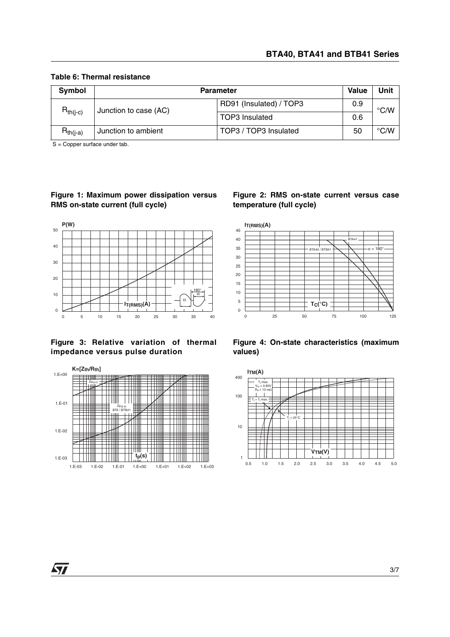| Symbol        | Value<br><b>Parameter</b> |                         |     | Unit               |
|---------------|---------------------------|-------------------------|-----|--------------------|
| $R_{th(i-c)}$ | Junction to case (AC)     | RD91 (Insulated) / TOP3 | 0.9 | $\rm ^{\circ}$ C/W |
|               |                           | <b>TOP3</b> Insulated   | 0.6 |                    |
| $R_{th(i-a)}$ | Junction to ambient       | TOP3 / TOP3 Insulated   | 50  | $\rm ^{\circ}$ C/W |

#### **Table 6: Thermal resistance**

S = Copper surface under tab.

## **Figure 1: Maximum power dissipation versus RMS on-state current (full cycle)**



## **Figure 3: Relative variation of thermal impedance versus pulse duration**



#### **Figure 2: RMS on-state current versus case temperature (full cycle)**



**Figure 4: On-state characteristics (maximum values)**



 $\sqrt{2}$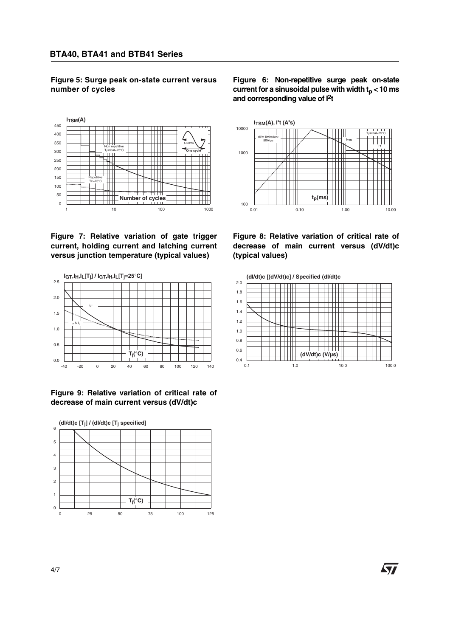**Figure 5: Surge peak on-state current versus number of cycles**











**Figure 6: Non-repetitive surge peak on-state** current for a sinusoidal pulse with width  $t_n < 10$  ms **and corresponding value of I2t**



**Figure 8: Relative variation of critical rate of decrease of main current versus (dV/dt)c (typical values)**



**AVI**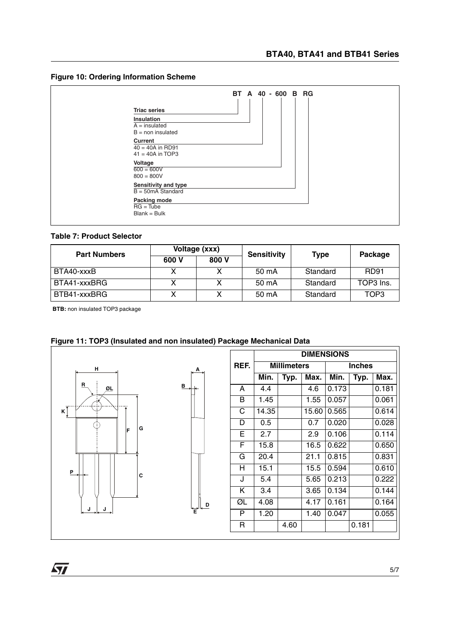



#### **Table 7: Product Selector**

| <b>Part Numbers</b> | Voltage (xxx) |       | <b>Sensitivity</b> | Type     | Package     |  |
|---------------------|---------------|-------|--------------------|----------|-------------|--|
|                     | 600 V         | 800 V |                    |          |             |  |
| BTA40-xxxB          |               |       | 50 mA              | Standard | <b>RD91</b> |  |
| BTA41-xxxBRG        |               |       | 50 mA              | Standard | TOP3 Ins.   |  |
| BTB41-xxxBRG        |               | v     | 50 mA              | Standard | TOP3        |  |

**BTB:** non insulated TOP3 package



# **Figure 11: TOP3 (Insulated and non insulated) Package Mechanical Data**

**A**

**D**

|                       | <b>DIMENSIONS</b> |                    |       |       |               |       |
|-----------------------|-------------------|--------------------|-------|-------|---------------|-------|
| REF.                  |                   | <b>Millimeters</b> |       |       | <b>Inches</b> |       |
|                       | Min.              | Typ.               | Max.  | Min.  | Typ.          | Max.  |
| A                     | 4.4               |                    | 4.6   | 0.173 |               | 0.181 |
| В                     | 1.45              |                    | 1.55  | 0.057 |               | 0.061 |
| $\overline{\text{C}}$ | 14.35             |                    | 15.60 | 0.565 |               | 0.614 |
| D                     | 0.5               |                    | 0.7   | 0.020 |               | 0.028 |
| E                     | 2.7               |                    | 2.9   | 0.106 |               | 0.114 |
| F                     | 15.8              |                    | 16.5  | 0.622 |               | 0.650 |
| G                     | 20.4              |                    | 21.1  | 0.815 |               | 0.831 |
| H                     | 15.1              |                    | 15.5  | 0.594 |               | 0.610 |
| J                     | 5.4               |                    | 5.65  | 0.213 |               | 0.222 |
| K                     | 3.4               |                    | 3.65  | 0.134 |               | 0.144 |
| ØL                    | 4.08              |                    | 4.17  | 0.161 |               | 0.164 |
| P                     | 1.20              |                    | 1.40  | 0.047 |               | 0.055 |
| R                     |                   | 4.60               |       |       | 0.181         |       |

 $\sqrt{27}$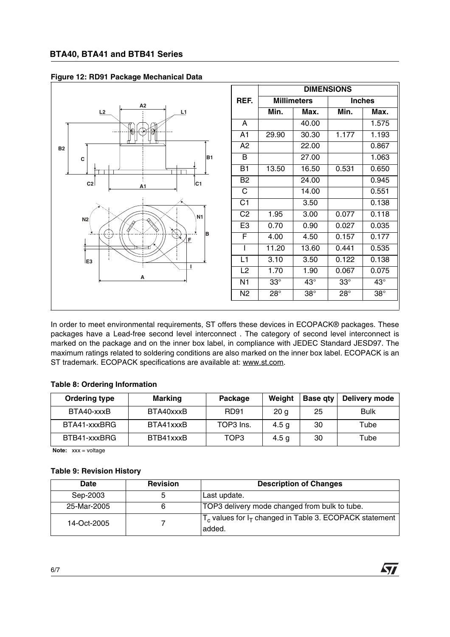

## **Figure 12: RD91 Package Mechanical Data**

In order to meet environmental requirements, ST offers these devices in ECOPACK® packages. These packages have a Lead-free second level interconnect . The category of second level interconnect is marked on the package and on the inner box label, in compliance with JEDEC Standard JESD97. The maximum ratings related to soldering conditions are also marked on the inner box label. ECOPACK is an ST trademark. ECOPACK specifications are available at: www.st.com.

#### **Table 8: Ordering Information**

| <b>Ordering type</b> | <b>Marking</b> | Package     | Weight           | <b>Base gty</b> | Delivery mode |
|----------------------|----------------|-------------|------------------|-----------------|---------------|
| BTA40-xxxB           | BTA40xxxB      | <b>RD91</b> | 20 <sub>g</sub>  | 25              | <b>Bulk</b>   |
| BTA41-xxxBRG         | BTA41xxxB      | TOP3 Ins.   | 4.5 <sub>g</sub> | 30              | Tube          |
| BTB41-xxxBRG         | BTB41xxxB      | TOP3        | 4.5 <sub>g</sub> | 30              | Tube          |

**Note:** xxx = voltage

#### **Table 9: Revision History**

| Date        | <b>Revision</b> | <b>Description of Changes</b>                                          |
|-------------|-----------------|------------------------------------------------------------------------|
| Sep-2003    | 5               | Last update.                                                           |
| 25-Mar-2005 | 6               | TOP3 delivery mode changed from bulk to tube.                          |
| 14-Oct-2005 |                 | $T_c$ values for $I_T$ changed in Table 3. ECOPACK statement<br>added. |

**AVI**